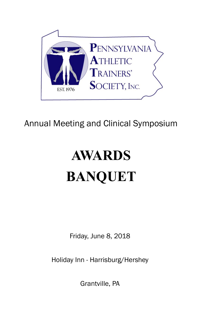

## Annual Meeting and Clinical Symposium

# **AWARDS BANQUET**

Friday, June 8, 2018

Holiday Inn - Harrisburg/Hershey

Grantville, PA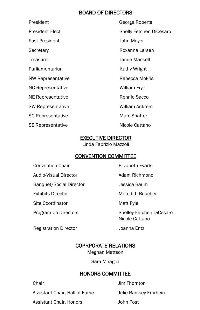#### BOARD OF DIRECTORS

President George Roberts Past President **Department** John Moyer Secretary **Roxanna Larsen** Treasurer Jamie Mansell Parliamentarian Kathy Wright NW Representative **Rebecca Mokris** NC Representative William Frye NE Representative **Rennie Sacco** Rennie Sacco SW Representative William Ankrom SC Representative Marc Shaffer SE Representative Nicole Cattano

President Elect **Shelly Fetchen DiCesaro** 

#### EXECUTIVE DIRECTOR

Linda Fabrizio Mazzoli

#### CONVENTION COMMITTEE

Convention Chair **Elizabeth Evarts** 

Audio-Visual Director **Adam Richmond** 

Banquet/Social Director **Communists** Jessica Baum

Site Coordinator **Matt Pyle** 

Registration Director **Communists** Joanna Entz

Exhibits Director **Meredith Boucher** 

Program Co-Directors Shelley Fetchen DiCesaro Nicole Cattano

#### COPRPORATE RELATIONS

Meghan Mattson

Sara Miraglia

#### HONORS COMMITTEE

Assistant Chair, Hall of Fame Julie Ramsey Emrhein

Assistant Chair, Honors **John Post** 

Chair **Chair** Jim Thornton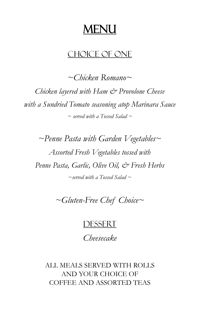## MENU

### CHOICE OF ONE

*~Chicken Romano~ Chicken layered with Ham & Provolone Cheese with a Sundried Tomato seasoning atop Marinara Sauce ~ served with a Tossed Salad ~* 

*~Penne Pasta with Garden Vegetables~ Assorted Fresh Vegetables tossed with Penne Pasta, Garlic, Olive Oil, & Fresh Herbs ~served with a Tossed Salad ~* 

*~Gluten-Free Chef Choice~* 

### **DESSERT**

*Cheesecake* 

ALL MEALS SERVED WITH ROLLS AND YOUR CHOICE OF COFFEE AND ASSORTED TEAS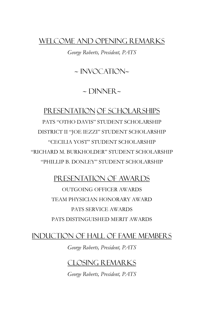### WELCOME AND OPENING REMARKS

*George Roberts, President, PATS* 

 $\sim$  INVOCATION $\sim$ 

 $\sim$  DINNER $\sim$ 

### PRESENTATION OF SCHOLARSHIPS

PATS "OTHO DAVIS" STUDENT SCHOLARSHIP DISTRICT II "JOE IEZZI" STUDENT SCHOLARSHIP "CECILIA YOST" STUDENT SCHOLARSHIP "RICHARD M. BURKHOLDER" STUDENT SCHOLARSHIP "PHILLIP B. DONLEY" STUDENT SCHOLARSHIP

### PRESENTATION OF AWARDS

OUTGOING OFFICER AWARDS TEAM PHYSICIAN HONORARY AWARD PATS SERVICE AWARDS PATS DISTINGUISHED MERIT AWARDS

### INDUCTION OF HALL OF FAME MEMBERS

*George Roberts, President, PATS* 

### CLOSING REMARKS

*George Roberts, President, PATS*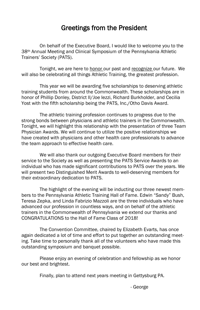### Greetings from the President

 On behalf of the Executive Board, I would like to welcome you to the 38th Annual Meeting and Clinical Symposium of the Pennsylvania Athletic Trainers' Society (PATS).

 Tonight, we are here to honor our past and recognize our future. We will also be celebrating all things Athletic Training, the greatest profession.

 This year we will be awarding five scholarships to deserving athletic training students from around the Commonwealth. These scholarships are in honor of Phillip Donley, District II/Joe Iezzi, Richard Burkholder, and Cecilia Yost with the fifth scholarship being the PATS, Inc./Otho Davis Award.

 The athletic training profession continues to progress due to the strong bonds between physicians and athletic trainers in the Commonwealth. Tonight, we will highlight this relationship with the presentation of three Team Physician Awards. We will continue to utilize the positive relationships we have created with physicians and other health care professionals to advance the team approach to effective health care.

 We will also thank our outgoing Executive Board members for their service to the Society as well as presenting the PATS Service Awards to an individual who has made significant contributions to PATS over the years. We will present two Distinguished Merit Awards to well-deserving members for their extraordinary dedication to PATS.

 The highlight of the evening will be inducting our three newest members to the Pennsylvania Athletic Training Hall of Fame. Edwin "Sandy" Bush, Teresa Zepka, and Linda Fabrizio Mazzoli are the three individuals who have advanced our profession in countless ways, and on behalf of the athletic trainers in the Commonwealth of Pennsylvania we extend our thanks and CONGRATULATIONS to the Hall of Fame Class of 2018!

 The Convention Committee, chaired by Elizabeth Evarts, has once again dedicated a lot of time and effort to put together an outstanding meeting. Take time to personally thank all of the volunteers who have made this outstanding symposium and banquet possible.

 Please enjoy an evening of celebration and fellowship as we honor our best and brightest.

Finally, plan to attend next years meeting in Gettysburg PA.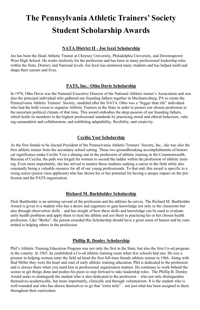## **The Pennsylvania Athletic Trainers' Society Student Scholarship Awards**

#### **NATA District II - Joe Iezzi Scholarship**

Joe has been the Head Athletic Trainer at Cheyney University, Philadelphia University, and Downingtown West High School. He works tirelessly for the profession and has been in many professional leadership roles within the State, District, and National levels. Joe Iezzi has mentored many students and has helped mold and shape their careers and lives.

#### **PATS, Inc.- Otho Davis Scholarship**

In 1976, Otho Davis was the National Executive Director of the National Athletic trainer's Association and was also the principal individual who gathered our founding fathers together in Mechanicsburg, PA to create the Pennsylvania Athletic Trainers' Society, modeled after the NATA. Otho was a "bigger than life" individual who had the bold vision to organize Athletic Trainers in the State in order to protect our chosen profession in the uncertain political climate of that time. This award embodies the deep passion of our founding fathers, which holds its members to the highest professional standards by practicing moral and ethical behaviors, valuing camaraderie and collaboration, and exhibiting adaptability, flexibility, and creativity.

#### **Cecilia Yost Scholarship**

As the first female to be elected President of the Pennsylvania Athletic Trainers' Society, Inc., she was also the first athletic trainer from the secondary school setting. These two groundbreaking accomplishments of historical significance make Cecilia Yost a shining star in the profession of athletic training in the Commonwealth. Because of Cecilia, the path was forged for women to ascend the ladder within the profession of athletic training. Even more importantly, she has strived to mentor those students seeking a career in the field while also constantly being a valuable resource for all of our young professionals. To that end, this award is specific to a rising senior (junior class applicant) who has shown his or her potential for having a unique impact on the profession and the PATS organization.

#### **Richard M. Burkholder Scholarship**

Dick Burkholder is an untiring servant of the profession and the athletes he serves. The Richard M. Burkholder Award is given to a student who has a desire and eagerness to gain knowledge not only in the classroom but also through observation skills – and has insight of how these skills and knowledge can be used to evaluate early health problems and apply them to treat the athlete and use them in practicing his or her chosen health profession. Like "Burke", the person awarded this Scholarship should have a great sense of humor and be committed to helping others in the profession.

#### **Phillip B. Donley Scholarship**

Phil's Athletic Training Education Program was not only the first in the State, but also the first Co-ed program in the country. In 1965, he established a Co-ed athletic training room when few schools had one. He was a pioneer in helping women enter the field ad hired the first full-time female athletic trainer in 1966. Along with Bud Miller they were the heart and soul of early athletic training education. Phil is dedicated to the profession and is always there when you need him in professional organization matters. He continues to work behind the scenes to get things done and pushes his peers to step forward to take leadership roles. The Phillip B. Donley Award seeks to distinguish the student who is also dedicated to the profession – who not only distinguishes themselves academically, but more importantly, clinically and through volunteerism. It is the student who is well-rounded and who has shown themselves to go that "extra mile" – not just what has been assigned to them throughout their curriculum.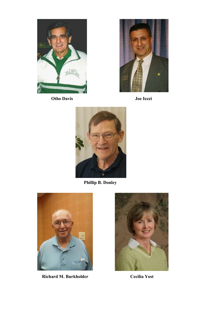

 **Otho Davis**



 **Joe Iezzi**



**Phillip B. Donley**



**Richard M. Burkholder**



 **Cecilia Yost**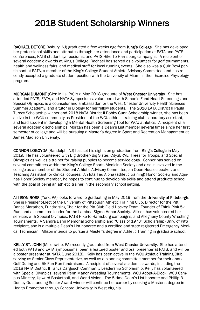### 2018 Student Scholarship Winners

RACHAEL DETORE (Asbury, NJ) graduated a few weeks ago from King's College. She has developed her professional skills and attributes through her attendance and participation at EATA and PATS conferences, PATS student symposiums, and PATS Hike-To-Harrisburg campaigns. A recipient of several academic awards at King's College, Rachael has served as a volunteer for golf tournaments, health and wellness fairs, and medical staff for local running events. She also was a Quiz Bowl participant at EATA, a member of the King's College Student Athlete Advisory Committee, and has recently accepted a graduate student position with the University of Miami in their Exercise Physiology program.

MORGAN DUMONT (Glen Mills, PA) is a May 2018 graduate of West Chester University. She has attended PATS, EATA, and NATA Symposiums, volunteered with Simon's Fund Heart Screenings and Special Olympics, is a counselor and ambassador for the West Chester University Health Sciences Summer Academy, and a tutor in Biology for her fellow students. The 2018 EATA District II Paula Turocy Scholarship winner and 2018 NATA District II Bobby Gunn Scholarship winner, she has been active in the WCU community as President of the WCU athletic training club, laboratory assistant, and lead student in developing a Mental Health Screening Tool for WCU athletics. A recipient of a several academic scholarships, Morgan has been a Dean's List member several times since her first semester of college and will be pursuing a Master's degree in Sport and Recreation Management at James Madison University.

CONNOR LOGOYDA (Randolph, NJ) has set his sights on graduation from King's College in May 2019. He has volunteered with Big Brother/Big Sister, CitySERVE, Trees for Troops, and Special Olympics as well as a trainer for raising puppies to become service dogs. Connor has served on several committees within the King's College Sports Medicine Society and also is involved in the college as a member of the Student Athletic Advisory Committee, an Open House speaker, and Teaching Assistant for clinical courses. An Iota Tau Alpha (athletic training) Honor Society and Aquinas Honor Society member, he hopes to continue to develop his skills and attend graduate school with the goal of being an athletic trainer in the secondary school setting.

ALLISON ROSS (York, PA) looks forward to graduating in May 2019 from the University of Pittsburgh. She is President-Elect of the University of Pittsburgh Athletic Training Club, Director for the Pitt Dance Marathon, Fundraising Chair for the Pitt Club Field Hockey Team, Founder of Think Pink 5k Run, and a committee leader for the Lambda Sigma Honor Society. Allison has volunteered her services with Special Olympics, PATS Hike-to-Harrisburg campaigns, and Allegheny County Wrestling Tournaments. A Sandra Bahn Memorial Scholarship and "Class of 1973" Scholarship (Univ. of Pitt) recipient, she is a multiple Dean's List honoree and a certified and state registered Emergency Medical Technician. Allison intends to pursue a Master's degree in Athletic Training in graduate school.

KELLY ST. JOHN (Millersville, PA) recently graduated from West Chester University. She has attended both PATS and EATA symposiums, been a featured poster and oral presenter at PATS, and will be a poster presenter at NATA (June 2018). Kelly has been active in the WCU Athletic Training Club, serving as Senior Class Representative, as well as a planning committee member for their annual Golf Outing and 5k Fun-Run fundraisers. A recipient of several academic awards, including the 2018 NATA District II Tanya Dargusch Community Leadership Scholarship, Kelly has volunteered with Special Olympics, several Penn Manor Wrestling Tournaments, WCU Adopt-A-Block, WCU Campus Ministry, Upward Basketball, and World Vision. The 5-time Dean's List honoree and Phillip B. Donley Outstanding Senior Award winner will continue her career by seeking a Master's degree in Health Promotion through Concord University in West Virginia.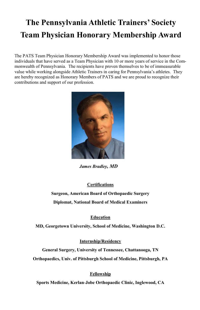### **The Pennsylvania Athletic Trainers' Society Team Physician Honorary Membership Award**

The PATS Team Physician Honorary Membership Award was implemented to honor those individuals that have served as a Team Physician with 10 or more years of service in the Commonwealth of Pennsylvania. The recipients have proven themselves to be of immeasurable value while working alongside Athletic Trainers in caring for Pennsylvania's athletes. They are hereby recognized as Honorary Members of PATS and we are proud to recognize their contributions and support of our profession.



 *James Bradley, MD*

#### **Certifications**

**Surgeon, American Board of Orthopaedic Surgery Diplomat, National Board of Medical Examiners**

#### **Education**

**MD, Georgetown University, School of Medicine, Washington D.C.**

#### **Internship/Residency**

**General Surgery, University of Tennessee, Chattanooga, TN Orthopaedics, Univ. of Pittsburgh School of Medicine, Pittsburgh, PA**

#### **Fellowship**

**Sports Medicine, Kerlan-Jobe Orthopaedic Clinic, Inglewood, CA**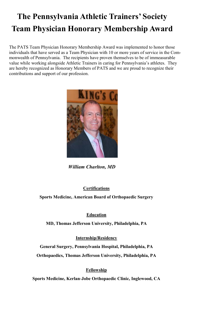## **The Pennsylvania Athletic Trainers' Society Team Physician Honorary Membership Award**

The PATS Team Physician Honorary Membership Award was implemented to honor those individuals that have served as a Team Physician with 10 or more years of service in the Commonwealth of Pennsylvania. The recipients have proven themselves to be of immeasurable value while working alongside Athletic Trainers in caring for Pennsylvania's athletes. They are hereby recognized as Honorary Members of PATS and we are proud to recognize their contributions and support of our profession.



*William Charlton, MD*

#### **Certifications**

**Sports Medicine, American Board of Orthopaedic Surgery** 

#### **Education**

**MD, Thomas Jefferson University, Philadelphia, PA**

**Internship/Residency**

**General Surgery, Pennsylvania Hospital, Philadelphia, PA Orthopaedics, Thomas Jefferson University, Philadelphia, PA**

#### **Fellowship**

**Sports Medicine, Kerlan-Jobe Orthopaedic Clinic, Inglewood, CA**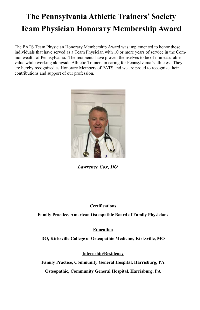## **The Pennsylvania Athletic Trainers' Society Team Physician Honorary Membership Award**

The PATS Team Physician Honorary Membership Award was implemented to honor those individuals that have served as a Team Physician with 10 or more years of service in the Commonwealth of Pennsylvania. The recipients have proven themselves to be of immeasurable value while working alongside Athletic Trainers in caring for Pennsylvania's athletes. They are hereby recognized as Honorary Members of PATS and we are proud to recognize their contributions and support of our profession.



 *Lawrence Cox, DO*

#### **Certifications**

**Family Practice, American Osteopathic Board of Family Physicians**

#### **Education**

**DO, Kirksville College of Osteopathic Medicine, Kirksville, MO**

#### **Internship/Residency**

**Family Practice, Community General Hospital, Harrisburg, PA Osteopathic, Community General Hospital, Harrisburg, PA**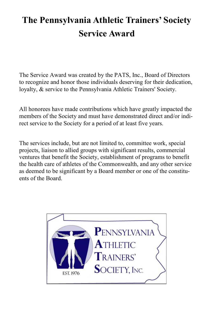## **The Pennsylvania Athletic Trainers' Society Service Award**

The Service Award was created by the PATS, Inc., Board of Directors to recognize and honor those individuals deserving for their dedication, loyalty, & service to the Pennsylvania Athletic Trainers' Society.

All honorees have made contributions which have greatly impacted the members of the Society and must have demonstrated direct and/or indirect service to the Society for a period of at least five years.

The services include, but are not limited to, committee work, special projects, liaison to allied groups with significant results, commercial ventures that benefit the Society, establishment of programs to benefit the health care of athletes of the Commonwealth, and any other service as deemed to be significant by a Board member or one of the constituents of the Board.

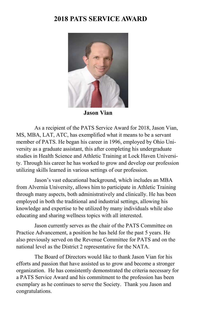### **2018 PATS SERVICE AWARD**



**Jason Vian**

As a recipient of the PATS Service Award for 2018, Jason Vian, MS, MBA, LAT, ATC, has exemplified what it means to be a servant member of PATS. He began his career in 1996, employed by Ohio University as a graduate assistant, this after completing his undergraduate studies in Health Science and Athletic Training at Lock Haven University. Through his career he has worked to grow and develop our profession utilizing skills learned in various settings of our profession.

Jason's vast educational background, which includes an MBA from Alvernia University, allows him to participate in Athletic Training through many aspects, both administratively and clinically. He has been employed in both the traditional and industrial settings, allowing his knowledge and expertise to be utilized by many individuals while also educating and sharing wellness topics with all interested.

Jason currently serves as the chair of the PATS Committee on Practice Advancement, a position he has held for the past 5 years. He also previously served on the Revenue Committee for PATS and on the national level as the District 2 representative for the NATA.

The Board of Directors would like to thank Jason Vian for his efforts and passion that have assisted us to grow and become a stronger organization. He has consistently demonstrated the criteria necessary for a PATS Service Award and his commitment to the profession has been exemplary as he continues to serve the Society. Thank you Jason and congratulations.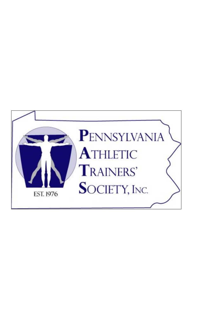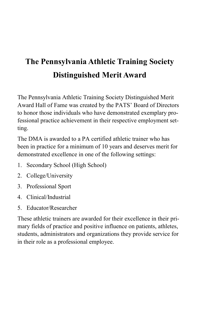## **The Pennsylvania Athletic Training Society Distinguished Merit Award**

The Pennsylvania Athletic Training Society Distinguished Merit Award Hall of Fame was created by the PATS' Board of Directors to honor those individuals who have demonstrated exemplary professional practice achievement in their respective employment setting.

The DMA is awarded to a PA certified athletic trainer who has been in practice for a minimum of 10 years and deserves merit for demonstrated excellence in one of the following settings:

- 1. Secondary School (High School)
- 2. College/University
- 3. Professional Sport
- 4. Clinical/Industrial
- 5. Educator/Researcher

These athletic trainers are awarded for their excellence in their primary fields of practice and positive influence on patients, athletes, students, administrators and organizations they provide service for in their role as a professional employee.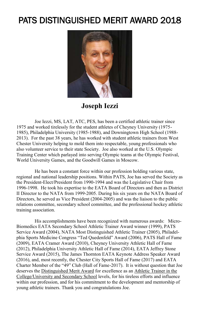### PATS DISTINGUISHED MERIT AWARD 2018



**Joseph Iezzi**

Joe Iezzi, MS, LAT, ATC, PES, has been a certified athletic trainer since 1975 and worked tirelessly for the student athletes of Cheyney University (1975- 1985), Philadelphia University (1985-1988), and Downingtown High School (1988- 2013). For the past 38 years, he has worked with student athletic trainers from West Chester University helping to mold them into respectable, young professionals who also volunteer service to their state Society. Joe also worked at the U.S. Olympic Training Center which parlayed into serving Olympic teams at the Olympic Festival, World University Games, and the Goodwill Games in Moscow.

He has been a constant force within our profession holding various state, regional and national leadership positions. Within PATS, Joe has served the Society as the President-Elect/President from 1990-1994 and was the Legislative Chair from 1996-1998. He took his expertise to the EATA Board of Directors and then as District II Director to the NATA from 1999-2005. During his six years on the NATA Board of Directors, he served as Vice President (2004-2005) and was the liaison to the public relations committee, secondary school committee, and the professional hockey athletic training association.

His accomplishments have been recognized with numerous awards: Micro-Biomedics EATA Secondary School Athletic Trainer Award winner (1999), PATS Service Award (2004), NATA Most Distinguished Athletic Trainer (2005), Philadelphia Sports Medicine Congress "Ted Quedenfeld" Award (2006), PATS Hall of Fame (2009), EATA Cramer Award (2010), Cheyney University Athletic Hall of Fame (2012), Philadelphia University Athletic Hall of Fame (2014), EATA Jeffrey Stone Service Award (2015), The James Thornton EATA Keynote Address Speaker Award (2016), and, most recently, the Chester City Sports Hall of Fame (2017) and EATA Charter Member of the "49" Club (Hall of Fame-2017). It is without question that Joe deserves the Distinguished Merit Award for excellence as an Athletic Trainer in the College/University and Secondary School levels, for his tireless efforts and influence within our profession, and for his commitment to the development and mentorship of young athletic trainers. Thank you and congratulations Joe.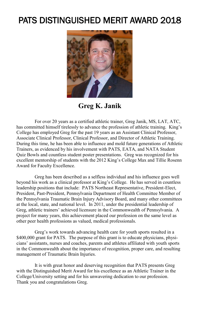### PATS DISTINGUISHED MERIT AWARD 2018



**Greg K. Janik**

For over 20 years as a certified athletic trainer, Greg Janik, MS, LAT, ATC, has committed himself tirelessly to advance the profession of athletic training. King's College has employed Greg for the past 19 years as an Assistant Clinical Professor, Associate Clinical Professor, Clinical Professor, and Director of Athletic Training. During this time, he has been able to influence and mold future generations of Athletic Trainers, as evidenced by his involvement with PATS, EATA, and NATA Student Quiz Bowls and countless student poster presentations. Greg was recognized for his excellent mentorship of students with the 2012 King's College Max and Tillie Rosenn Award for Faculty Excellence.

Greg has been described as a selfless individual and his influence goes well beyond his work as a clinical professor at King's College. He has served in countless leadership positions that include: PATS Northeast Representative, President-Elect, President, Past-President, Pennsylvania Department of Health Committee Member of the Pennsylvania Traumatic Brain Injury Advisory Board, and many other committees at the local, state, and national level. In 2011, under the presidential leadership of Greg, athletic trainers' achieved licensure in the Commonwealth of Pennsylvania. A project for many years, this achievement placed our profession on the same level as other peer health professions as valued, medical professionals.

Greg's work towards advancing health care for youth sports resulted in a \$400,000 grant for PATS. The purpose of this grant is to educate physicians, physicians' assistants, nurses and coaches, parents and athletes affiliated with youth sports in the Commonwealth about the importance of recognition, proper care, and resulting management of Traumatic Brain Injuries.

It is with great honor and deserving recognition that PATS presents Greg with the Distinguished Merit Award for his excellence as an Athletic Trainer in the College/University setting and for his unwavering dedication to our profession. Thank you and congratulations Greg.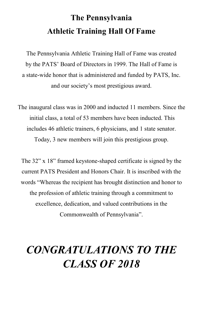## **The Pennsylvania Athletic Training Hall Of Fame**

The Pennsylvania Athletic Training Hall of Fame was created by the PATS' Board of Directors in 1999. The Hall of Fame is a state-wide honor that is administered and funded by PATS, Inc. and our society's most prestigious award.

The inaugural class was in 2000 and inducted 11 members. Since the initial class, a total of 53 members have been inducted. This includes 46 athletic trainers, 6 physicians, and 1 state senator. Today, 3 new members will join this prestigious group.

The 32" x 18" framed keystone-shaped certificate is signed by the current PATS President and Honors Chair. It is inscribed with the words "Whereas the recipient has brought distinction and honor to the profession of athletic training through a commitment to excellence, dedication, and valued contributions in the Commonwealth of Pennsylvania".

## *CONGRATULATIONS TO THE CLASS OF 2018*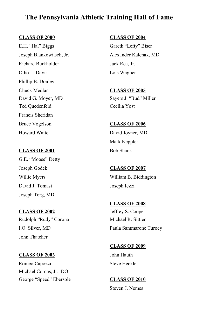### **The Pennsylvania Athletic Training Hall of Fame**

#### **CLASS OF 2000 CLASS OF 2004**

E.H. "Hal" Biggs Gareth "Lefty" Biser Richard Burkholder Jack Rea, Jr. Otho L. Davis Lois Wagner Phillip B. Donley Chuck Medlar **CLASS OF 2005** David G. Moyer, MD Sayers J. "Bud" Miller Ted Quedenfeld Cecilia Yost Francis Sheridan Bruce Vogelson **CLASS OF 2006** Howard Waite David Joyner, MD

#### CLASS OF 2001 Bob Shank

G.E. "Moose" Detty Joseph Godek **CLASS OF 2007** David J. Tomasi Joseph Iezzi Joseph Torg, MD

**CLASS OF 2002** Jeffrey S. Cooper Rudolph "Rudy" Corona Michael R. Sittler John Thatcher

Romeo Capozzi Steve Heckler Michael Cordas, Jr., DO George "Speed" Ebersole **CLASS OF 2010** 

Joseph Blankowitsch, Jr. Alexander Kalenak, MD

Mark Keppler

William B. Biddington

 **CLASS OF 2008** I.O. Silver, MD Paula Sammarone Turocy

 **CLASS OF 2009 CLASS OF 2003** John Hauth

Steven J. Nemes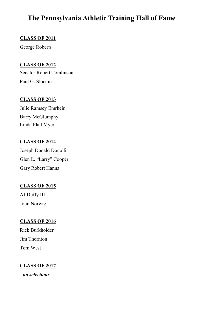### **The Pennsylvania Athletic Training Hall of Fame**

#### **CLASS OF 2011**

George Roberts

#### **CLASS OF 2012**

Senator Robert Tomlinson Paul G. Slocum

#### **CLASS OF 2013**

Julie Ramsey Emrhein Barry McGlumphy Linda Platt Myer

#### **CLASS OF 2014**

Joseph Donald Donolli Glen L. "Larry" Cooper Gary Robert Hanna

#### **CLASS OF 2015**

AJ Duffy III John Norwig

#### **CLASS OF 2016**

Rick Burkholder Jim Thornton Tom West

#### **CLASS OF 2017**

- *no selections* -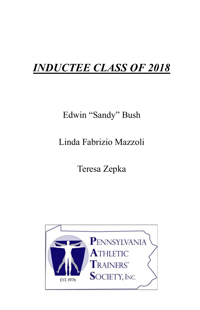## *INDUCTEE CLASS OF 2018*

## Edwin "Sandy" Bush

## Linda Fabrizio Mazzoli

## Teresa Zepka

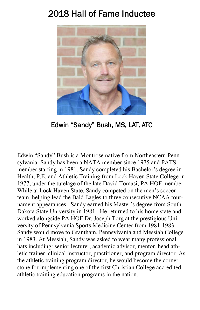### 2018 Hall of Fame Inductee



Edwin "Sandy" Bush, MS, LAT, ATC

Edwin "Sandy" Bush is a Montrose native from Northeastern Pennsylvania. Sandy has been a NATA member since 1975 and PATS member starting in 1981. Sandy completed his Bachelor's degree in Health, P.E. and Athletic Training from Lock Haven State College in 1977, under the tutelage of the late David Tomasi, PA HOF member. While at Lock Haven State, Sandy competed on the men's soccer team, helping lead the Bald Eagles to three consecutive NCAA tournament appearances. Sandy earned his Master's degree from South Dakota State University in 1981. He returned to his home state and worked alongside PA HOF Dr. Joseph Torg at the prestigious University of Pennsylvania Sports Medicine Center from 1981-1983. Sandy would move to Grantham, Pennsylvania and Messiah College in 1983. At Messiah, Sandy was asked to wear many professional hats including: senior lecturer, academic advisor, mentor, head athletic trainer, clinical instructor, practitioner, and program director. As the athletic training program director, he would become the cornerstone for implementing one of the first Christian College accredited athletic training education programs in the nation.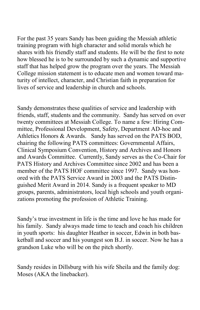For the past 35 years Sandy has been guiding the Messiah athletic training program with high character and solid morals which he shares with his friendly staff and students. He will be the first to note how blessed he is to be surrounded by such a dynamic and supportive staff that has helped grow the program over the years. The Messiah College mission statement is to educate men and women toward maturity of intellect, character, and Christian faith in preparation for lives of service and leadership in church and schools.

Sandy demonstrates these qualities of service and leadership with friends, staff, students and the community. Sandy has served on over twenty committees at Messiah College. To name a few: Hiring Committee, Professional Development, Safety, Department AD-hoc and Athletics Honors & Awards. Sandy has served on the PATS BOD, chairing the following PATS committees: Governmental Affairs, Clinical Symposium Convention, History and Archives and Honors and Awards Committee. Currently, Sandy serves as the Co-Chair for PATS History and Archives Committee since 2002 and has been a member of the PATS HOF committee since 1997. Sandy was honored with the PATS Service Award in 2003 and the PATS Distinguished Merit Award in 2014. Sandy is a frequent speaker to MD groups, parents, administrators, local high schools and youth organizations promoting the profession of Athletic Training.

Sandy's true investment in life is the time and love he has made for his family. Sandy always made time to teach and coach his children in youth sports: his daughter Heather in soccer, Edwin in both basketball and soccer and his youngest son B.J. in soccer. Now he has a grandson Luke who will be on the pitch shortly.

Sandy resides in Dillsburg with his wife Sheila and the family dog: Moses (AKA the linebacker).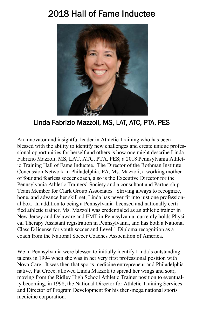### 2018 Hall of Fame Inductee



### Linda Fabrizio Mazzoli, MS, LAT, ATC, PTA, PES

An innovator and insightful leader in Athletic Training who has been blessed with the ability to identify new challenges and create unique professional opportunities for herself and others is how one might describe Linda Fabrizio Mazzoli, MS, LAT, ATC, PTA, PES; a 2018 Pennsylvania Athletic Training Hall of Fame Inductee. The Director of the Rothman Institute Concussion Network in Philadelphia, PA, Ms. Mazzoli, a working mother of four and fearless soccer coach, also is the Executive Director for the Pennsylvania Athletic Trainers' Society and a consultant and Partnership Team Member for Clark Group Associates. Striving always to recognize, hone, and advance her skill set, Linda has never fit into just one professional box. In addition to being a Pennsylvania-licensed and nationally certified athletic trainer, Ms. Mazzoli was credentialed as an athletic trainer in New Jersey and Delaware and EMT in Pennsylvania, currently holds Physical Therapy Assistant registration in Pennsylvania, and has both a National Class D license for youth soccer and Level 1 Diploma recognition as a coach from the National Soccer Coaches Association of America.

We in Pennsylvania were blessed to initially identify Linda's outstanding talents in 1994 when she was in her very first professional position with Nova Care. It was then that sports medicine entrepreneur and Philadelphia native, Pat Croce, allowed Linda Mazzoli to spread her wings and soar, moving from the Ridley High School Athletic Trainer position to eventually becoming, in 1998, the National Director for Athletic Training Services and Director of Program Development for his then-mega national sports medicine corporation.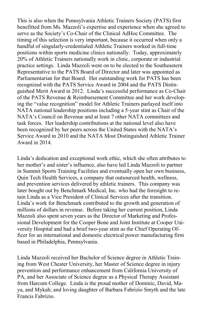This is also when the Pennsylvania Athletic Trainers Society (PATS) first benefitted from Ms. Mazzoli's expertise and experience when she agreed to serve as the Society's Co-Chair of the Clinical AdHoc Committee. The timing of this selection is very important, because it occurred when only a handful of singularly-credentialed Athletic Trainers worked in full-time positions within sports medicine clinics nationally. Today, approximately 20% of Athletic Trainers nationally work in clinic, corporate or industrial practice settings. Linda Mazzoli went on to be elected to the Southeastern Representative to the PATS Board of Director and later was appointed as Parliamentarian for that Board. Her outstanding work for PATS has been recognized with the PATS Service Award in 2004 and the PATS Distinguished Merit Award in 2012. Linda's successful performance as Co-Chair of the PATS Revenue & Reimbursement Committee and her work developing the "value recognition" model for Athletic Trainers parlayed itself into NATA national leadership positions including a 5-year stint as Chair of the NATA's Council on Revenue and at least 7 other NATA committees and task forces. Her leadership contributions at the national level also have been recognized by her peers across the United States with the NATA's Service Award in 2010 and the NATA Most Distinguished Athletic Trainer Award in 2014.

Linda's dedication and exceptional work ethic, which she often attributes to her mother's and sister's influence, also have led Linda Mazzoli to partner in Summit Sports Training Facilities and eventually open her own business, Quin Tech Health Services, a company that outsourced health, wellness, and prevention services delivered by athletic trainers. This company was later bought out by Benchmark Medical, Inc. who had the foresight to retain Linda as a Vice President of Clinical Services after the transition. Linda's work for Benchmark contributed to the growth and generation of millions of dollars in revenue. Before taking her current position, Linda Mazzoli also spent seven years as the Director of Marketing and Professional Development for the Cooper Bone and Joint Institute at Cooper University Hospital and had a brief two-year stint as the Chief Operating Officer for an international and domestic electrical power manufacturing firm based in Philadelphia, Pennsylvania.

Linda Mazzoli received her Bachelor of Science degree in Athletic Training from West Chester University, her Master of Science degree in injury prevention and performance enhancement from California University of PA, and her Associate of Science degree as a Physical Therapy Assistant from Harcum College. Linda is the proud mother of Dominic, David, Maya, and Mykah; and loving daughter of Barbara Fabrizio Smyth and the late Francis Fabrizio.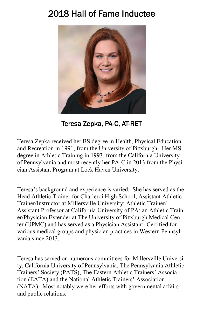### 2018 Hall of Fame Inductee



Teresa Zepka, PA-C, AT-RET

Teresa Zepka received her BS degree in Health, Physical Education and Recreation in 1991, from the University of Pittsburgh. Her MS degree in Athletic Training in 1993, from the California University of Pennsylvania and most recently her PA-C in 2013 from the Physician Assistant Program at Lock Haven University.

Teresa's background and experience is varied. She has served as the Head Athletic Trainer for Charleroi High School; Assistant Athletic Trainer/Instructor at Millersville University; Athletic Trainer/ Assistant Professor at California University of PA; an Athletic Trainer/Physician Extender at The University of Pittsburgh Medical Center (UPMC) and has served as a Physician Assistant- Certified for various medical groups and physician practices in Western Pennsylvania since 2013.

Teresa has served on numerous committees for Millersville University, California University of Pennsylvania, The Pennsylvania Athletic Trainers' Society (PATS), The Eastern Athletic Trainers' Association (EATA) and the National Athletic Trainers' Association (NATA). Most notably were her efforts with governmental affairs and public relations.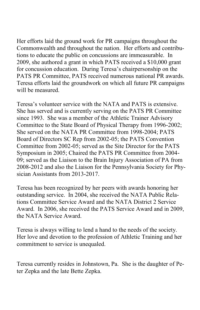Her efforts laid the ground work for PR campaigns throughout the Commonwealth and throughout the nation. Her efforts and contributions to educate the public on concussions are immeasurable. In 2009, she authored a grant in which PATS received a \$10,000 grant for concussion education. During Teresa's chairpersonship on the PATS PR Committee, PATS received numerous national PR awards. Teresa efforts laid the groundwork on which all future PR campaigns will be measured.

Teresa's volunteer service with the NATA and PATS is extensive. She has served and is currently serving on the PATS PR Committee since 1993. She was a member of the Athletic Trainer Advisory Committee to the State Board of Physical Therapy from 1996-2002; She served on the NATA PR Committee from 1998-2004; PATS Board of Directors SC Rep from 2002-05; the PATS Convention Committee from 2002-05; served as the Site Director for the PATS Symposium in 2005; Chaired the PATS PR Committee from 2004- 09; served as the Liaison to the Brain Injury Association of PA from 2008-2012 and also the Liaison for the Pennsylvania Society for Physician Assistants from 2013-2017.

Teresa has been recognized by her peers with awards honoring her outstanding service. In 2004, she received the NATA Public Relations Committee Service Award and the NATA District 2 Service Award. In 2006, she received the PATS Service Award and in 2009, the NATA Service Award.

Teresa is always willing to lend a hand to the needs of the society. Her love and devotion to the profession of Athletic Training and her commitment to service is unequaled.

Teresa currently resides in Johnstown, Pa. She is the daughter of Peter Zepka and the late Bette Zepka.